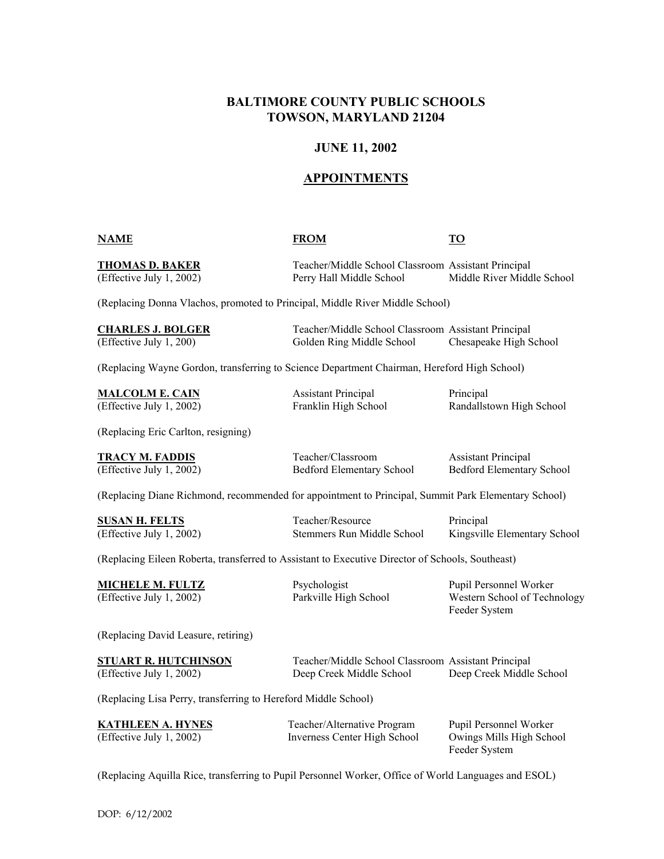# **BALTIMORE COUNTY PUBLIC SCHOOLS TOWSON, MARYLAND 21204**

## **JUNE 11, 2002**

# **APPOINTMENTS**

### **NAME FROM TO**

**THOMAS D. BAKER** Teacher/Middle School Classroom Assistant Principal (Effective July 1, 2002) Perry Hall Middle School Middle River Middle School

(Replacing Donna Vlachos, promoted to Principal, Middle River Middle School)

| <b>CHARLES J. BOLGER</b> | Teacher/Middle School Classroom Assistant Principal |                        |
|--------------------------|-----------------------------------------------------|------------------------|
| (Effective July 1, 200)  | Golden Ring Middle School                           | Chesapeake High School |

(Replacing Wayne Gordon, transferring to Science Department Chairman, Hereford High School)

**MALCOLM E. CAIN** Assistant Principal Principal

(Effective July 1, 2002) Franklin High School Randallstown High School

(Replacing Eric Carlton, resigning)

**TRACY M. FADDIS** Teacher/Classroom Assistant Principal

(Effective July 1, 2002) Bedford Elementary School Bedford Elementary School

(Replacing Diane Richmond, recommended for appointment to Principal, Summit Park Elementary School)

**SUSAN H. FELTS** Teacher/Resource Principal

(Effective July 1, 2002) Stemmers Run Middle School Kingsville Elementary School

(Replacing Eileen Roberta, transferred to Assistant to Executive Director of Schools, Southeast)

**MICHELE M. FULTZ** Psychologist Pupil Personnel Worker (Effective July 1, 2002) Parkville High School Western School of Technology Feeder System

(Replacing David Leasure, retiring)

| <b>STUART R. HUTCHINSON</b> | Teacher/Middle School Classroom Assistant Principal |                          |
|-----------------------------|-----------------------------------------------------|--------------------------|
| (Effective July 1, 2002)    | Deep Creek Middle School                            | Deep Creek Middle School |

(Replacing Lisa Perry, transferring to Hereford Middle School)

| <b>KATHLEEN A. HYNES</b> | Teacher/Alternative Program  | Pupil Personnel Worker   |
|--------------------------|------------------------------|--------------------------|
| (Effective July 1, 2002) | Inverness Center High School | Owings Mills High School |
|                          |                              | Feeder System            |

(Replacing Aquilla Rice, transferring to Pupil Personnel Worker, Office of World Languages and ESOL)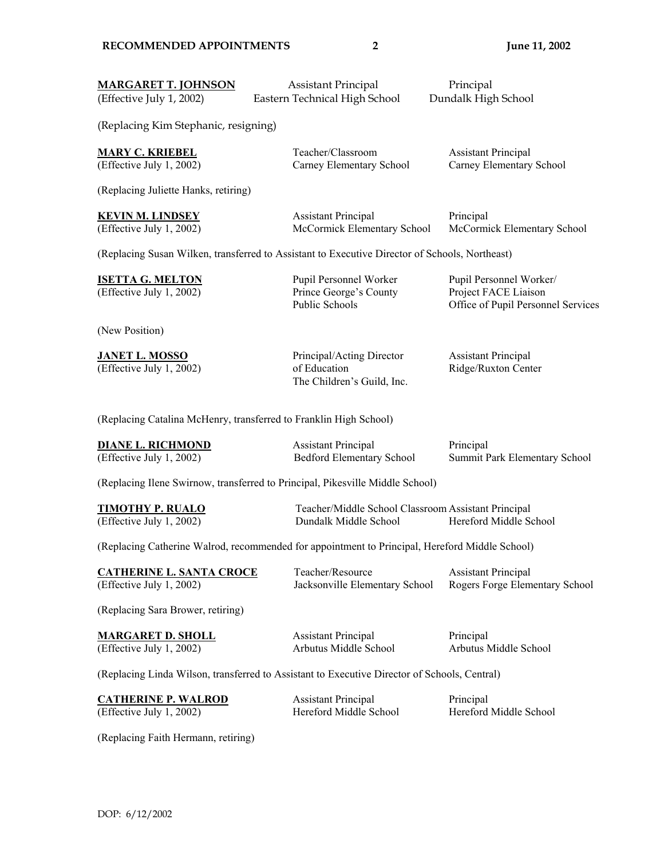| <b>MARGARET T. JOHNSON</b><br>(Effective July 1, 2002)                                         | <b>Assistant Principal</b><br>Eastern Technical High School                                    | Principal<br>Dundalk High School                                                      |  |  |  |
|------------------------------------------------------------------------------------------------|------------------------------------------------------------------------------------------------|---------------------------------------------------------------------------------------|--|--|--|
| (Replacing Kim Stephanic, resigning)                                                           |                                                                                                |                                                                                       |  |  |  |
| <b>MARY C. KRIEBEL</b><br>(Effective July 1, 2002)                                             | Teacher/Classroom<br>Carney Elementary School                                                  | <b>Assistant Principal</b><br>Carney Elementary School                                |  |  |  |
| (Replacing Juliette Hanks, retiring)                                                           |                                                                                                |                                                                                       |  |  |  |
| <b>KEVIN M. LINDSEY</b><br>(Effective July 1, 2002)                                            | <b>Assistant Principal</b><br>McCormick Elementary School                                      | Principal<br>McCormick Elementary School                                              |  |  |  |
|                                                                                                | (Replacing Susan Wilken, transferred to Assistant to Executive Director of Schools, Northeast) |                                                                                       |  |  |  |
| <b>ISETTA G. MELTON</b><br>(Effective July 1, 2002)                                            | Pupil Personnel Worker<br>Prince George's County<br><b>Public Schools</b>                      | Pupil Personnel Worker/<br>Project FACE Liaison<br>Office of Pupil Personnel Services |  |  |  |
| (New Position)                                                                                 |                                                                                                |                                                                                       |  |  |  |
| <b>JANET L. MOSSO</b><br>(Effective July 1, 2002)                                              | Principal/Acting Director<br>of Education<br>The Children's Guild, Inc.                        | <b>Assistant Principal</b><br>Ridge/Ruxton Center                                     |  |  |  |
| (Replacing Catalina McHenry, transferred to Franklin High School)                              |                                                                                                |                                                                                       |  |  |  |
| <b>DIANE L. RICHMOND</b><br>(Effective July 1, 2002)                                           | <b>Assistant Principal</b><br><b>Bedford Elementary School</b>                                 | Principal<br>Summit Park Elementary School                                            |  |  |  |
|                                                                                                | (Replacing Ilene Swirnow, transferred to Principal, Pikesville Middle School)                  |                                                                                       |  |  |  |
| <b>TIMOTHY P. RUALO</b><br>(Effective July 1, 2002)                                            | Teacher/Middle School Classroom Assistant Principal<br>Dundalk Middle School                   | Hereford Middle School                                                                |  |  |  |
| (Replacing Catherine Walrod, recommended for appointment to Principal, Hereford Middle School) |                                                                                                |                                                                                       |  |  |  |
| <b>CATHERINE L. SANTA CROCE</b><br>(Effective July 1, 2002)                                    | Teacher/Resource<br>Jacksonville Elementary School                                             | <b>Assistant Principal</b><br>Rogers Forge Elementary School                          |  |  |  |
| (Replacing Sara Brower, retiring)                                                              |                                                                                                |                                                                                       |  |  |  |
| <b>MARGARET D. SHOLL</b><br>(Effective July 1, 2002)                                           | <b>Assistant Principal</b><br>Arbutus Middle School                                            | Principal<br>Arbutus Middle School                                                    |  |  |  |
| (Replacing Linda Wilson, transferred to Assistant to Executive Director of Schools, Central)   |                                                                                                |                                                                                       |  |  |  |
| <b>CATHERINE P. WALROD</b><br>(Effective July 1, 2002)                                         | <b>Assistant Principal</b><br>Hereford Middle School                                           | Principal<br>Hereford Middle School                                                   |  |  |  |

(Replacing Faith Hermann, retiring)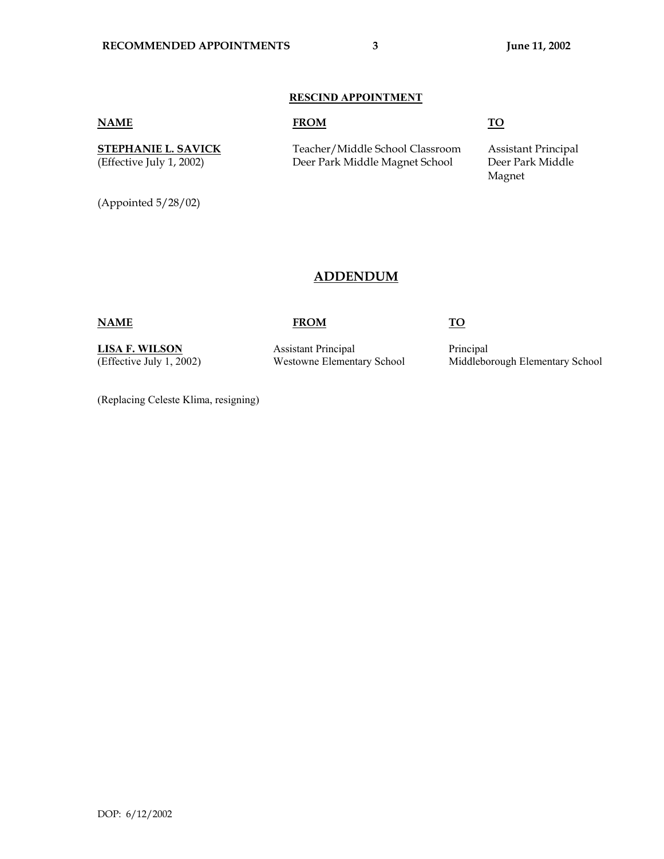### **RESCIND APPOINTMENT**

(Appointed 5/28/02)

### **NAME FROM TO**

**STEPHANIE L. SAVICK** Teacher/Middle School Classroom Assistant Principal (Effective July 1, 2002) Deer Park Middle Magnet School Deer Park Middle

Magnet and the Magnet of the Magnet of the Magnet of the Magnet of the Magnet of the Magnet of the Magnet of the Magnet of the Magnet of the Magnet of the Magnet of the Magnet of the Magnet of the Magnet of the Magnet of t

# **ADDENDUM**

## **NAME FROM TO**

**LISA F. WILSON** Assistant Principal Principal Principal

(Effective July 1, 2002) Westowne Elementary School Middleborough Elementary School

(Replacing Celeste Klima, resigning)